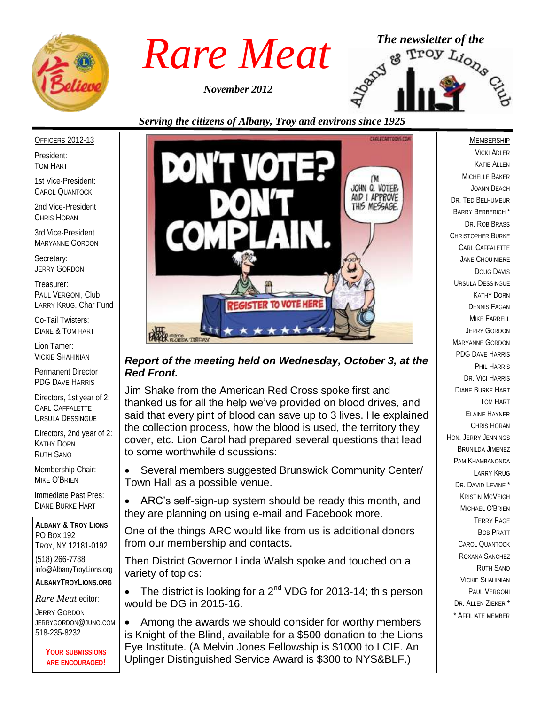

*November 2012*



#### OFFICERS 2012-13

President: TOM HART

1st Vice-President: CAROL QUANTOCK

2nd Vice-President CHRIS HORAN

3rd Vice-President MARYANNE GORDON

Secretary: JERRY GORDON

Treasurer: PAUL VERGONI, Club LARRY KRUG, Char Fund

Co-Tail Twisters: DIANE & TOM HART

Lion Tamer: VICKIE SHAHINIAN

Permanent Director PDG DAVE HARRIS

Directors, 1st year of 2: CARL CAFFALETTE URSULA DESSINGUE

Directors, 2nd year of 2: KATHY DORN RUTH SANO

Membership Chair: MIKE O'BRIEN

Immediate Past Pres: DIANE BURKE HART

**ALBANY & TROY LIONS** PO BOX 192 TROY, NY 12181-0192 (518) 266-7788 info@AlbanyTroyLions.org **ALBANYTROYLIONS.ORG**

*Rare Meat* editor:

JERRY GORDON JERRYGORDON@JUNO.COM 518-235-8232

> **YOUR SUBMISSIONS ARE ENCOURAGED!**



#### *Report of the meeting held on Wednesday, October 3, at the Red Front.*

Jim Shake from the American Red Cross spoke first and thanked us for all the help we've provided on blood drives, and said that every pint of blood can save up to 3 lives. He explained the collection process, how the blood is used, the territory they cover, etc. Lion Carol had prepared several questions that lead to some worthwhile discussions:

 Several members suggested Brunswick Community Center/ Town Hall as a possible venue.

 ARC's self-sign-up system should be ready this month, and they are planning on using e-mail and Facebook more.

One of the things ARC would like from us is additional donors from our membership and contacts.

Then District Governor Linda Walsh spoke and touched on a variety of topics:

The district is looking for a  $2^{nd}$  VDG for 2013-14; this person would be DG in 2015-16.

• Among the awards we should consider for worthy members is Knight of the Blind, available for a \$500 donation to the Lions Eye Institute. (A Melvin Jones Fellowship is \$1000 to LCIF. An Uplinger Distinguished Service Award is \$300 to NYS&BLF.)

MEMBERSHIP

VICKI ADLER KATIE ALLEN MICHELLE BAKER JOANN BEACH DR. TED BELHUMEUR BARRY BERBERICH \* DR. ROB BRASS CHRISTOPHER BURKE CARL CAFFALETTE JANE CHOUINIERE DOUG DAVIS URSULA DESSINGUE KATHY DORN DENNIS FAGAN MIKE FARRELL JERRY GORDON MARYANNE GORDON PDG DAVE HARRIS PHIL HARRIS DR. VICI HARRIS DIANE BURKE HART TOM HART ELAINE HAYNER CHRIS HORAN HON. JERRY JENNINGS BRUNILDA JIMENEZ PAM KHAMBANONDA LARRY KRUG DR. DAVID LEVINE<sup>\*</sup> KRISTIN MCVEIGH MICHAEL O'BRIEN TERRY PAGE BOB PRATT CAROL QUANTOCK ROXANA SANCHEZ RUTH SANO VICKIE SHAHINIAN PAUL VERGONI DR. ALLEN ZIEKER \* \* AFFILIATE MEMBER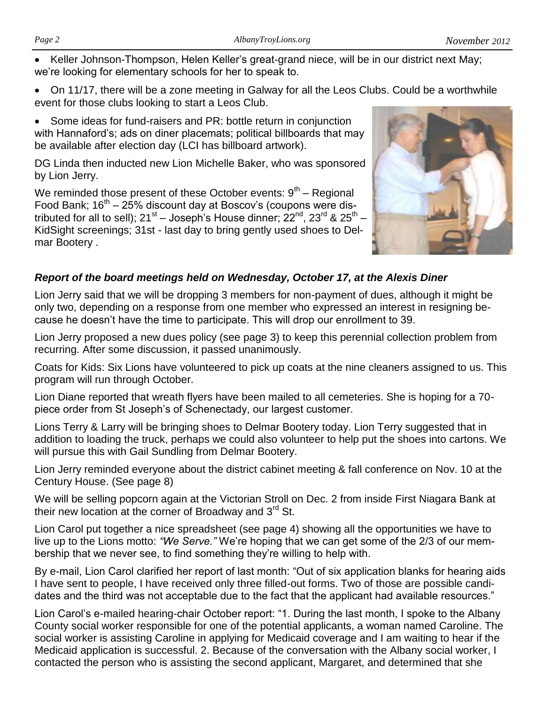Keller Johnson-Thompson, Helen Keller's great-grand niece, will be in our district next May; we're looking for elementary schools for her to speak to.

• On 11/17, there will be a zone meeting in Galway for all the Leos Clubs. Could be a worthwhile event for those clubs looking to start a Leos Club.

 Some ideas for fund-raisers and PR: bottle return in conjunction with Hannaford's; ads on diner placemats; political billboards that may be available after election day (LCI has billboard artwork).

DG Linda then inducted new Lion Michelle Baker, who was sponsored by Lion Jerry.

We reminded those present of these October events:  $9<sup>th</sup>$  – Regional Food Bank;  $16<sup>th</sup> - 25%$  discount day at Boscov's (coupons were distributed for all to sell); 21<sup>st</sup> – Joseph's House dinner; 22<sup>nd</sup>, 23<sup>rd</sup> & 25<sup>th</sup> – KidSight screenings; 31st - last day to bring gently used shoes to Delmar Bootery .



#### *Report of the board meetings held on Wednesday, October 17, at the Alexis Diner*

Lion Jerry said that we will be dropping 3 members for non-payment of dues, although it might be only two, depending on a response from one member who expressed an interest in resigning because he doesn't have the time to participate. This will drop our enrollment to 39.

Lion Jerry proposed a new dues policy (see page 3) to keep this perennial collection problem from recurring. After some discussion, it passed unanimously.

Coats for Kids: Six Lions have volunteered to pick up coats at the nine cleaners assigned to us. This program will run through October.

Lion Diane reported that wreath flyers have been mailed to all cemeteries. She is hoping for a 70 piece order from St Joseph's of Schenectady, our largest customer.

Lions Terry & Larry will be bringing shoes to Delmar Bootery today. Lion Terry suggested that in addition to loading the truck, perhaps we could also volunteer to help put the shoes into cartons. We will pursue this with Gail Sundling from Delmar Bootery.

Lion Jerry reminded everyone about the district cabinet meeting & fall conference on Nov. 10 at the Century House. (See page 8)

We will be selling popcorn again at the Victorian Stroll on Dec. 2 from inside First Niagara Bank at their new location at the corner of Broadway and 3<sup>rd</sup> St.

Lion Carol put together a nice spreadsheet (see page 4) showing all the opportunities we have to live up to the Lions motto: *"We Serve."* We're hoping that we can get some of the 2/3 of our membership that we never see, to find something they're willing to help with.

By e-mail, Lion Carol clarified her report of last month: "Out of six application blanks for hearing aids I have sent to people, I have received only three filled-out forms. Two of those are possible candidates and the third was not acceptable due to the fact that the applicant had available resources."

Lion Carol's e-mailed hearing-chair October report: "1. During the last month, I spoke to the Albany County social worker responsible for one of the potential applicants, a woman named Caroline. The social worker is assisting Caroline in applying for Medicaid coverage and I am waiting to hear if the Medicaid application is successful. 2. Because of the conversation with the Albany social worker, I contacted the person who is assisting the second applicant, Margaret, and determined that she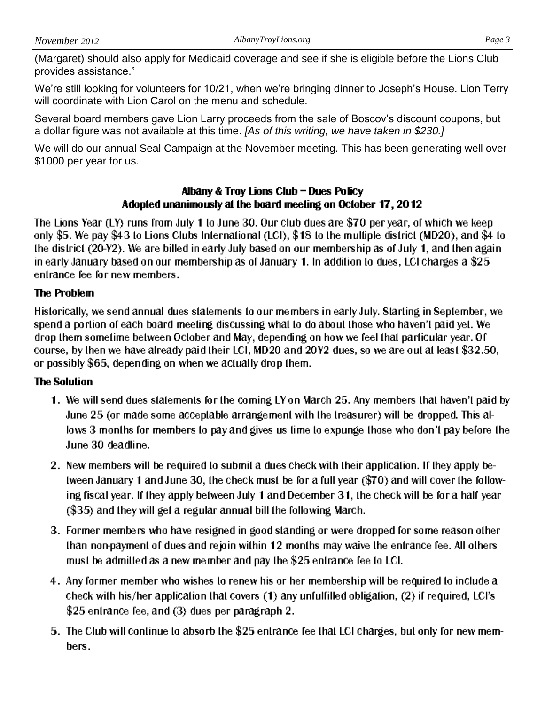(Margaret) should also apply for Medicaid coverage and see if she is eligible before the Lions Club provides assistance."

We're still looking for volunteers for 10/21, when we're bringing dinner to Joseph's House. Lion Terry will coordinate with Lion Carol on the menu and schedule.

Several board members gave Lion Larry proceeds from the sale of Boscov's discount coupons, but a dollar figure was not available at this time. *[As of this writing, we have taken in \$230.]*

We will do our annual Seal Campaign at the November meeting. This has been generating well over \$1000 per year for us.

#### Albany & Troy Lions Club - Dues Policy Adopted unanimously at the board meeting on October 17, 2012

The Lions Year (LY) runs from July 1 to June 30. Our club dues are \$70 per year, of which we keep only \$5. We pay \$43 to Lions Clubs International (LCI), \$18 to the multiple district (MD20), and \$4 to the district (20-Y2). We are billed in early July based on our membership as of July 1, and then again in early January based on our membership as of January 1. In addition to dues, LCI charges a \$25 entrance fee for new members.

# **The Problem**

Historically, we send annual dues statements to our members in early July. Starting in September, we spend a portion of each board meeting discussing what to do about those who haven't paid yet. We drop them sometime between October and May, depending on how we feel that particular year. Of course, by then we have already paid their LCI, MD20 and 20Y2 dues, so we are out at least \$32.50, or possibly \$65, depending on when we actually drop them.

# **The Solution**

- 1. We will send dues statements for the coming LY on March 25. Any members that haven't paid by June 25 (or made some acceptable arrangement with the treasurer) will be dropped. This allows 3 months for members to pay and gives us time to expunge those who don't pay before the June 30 deadline.
- 2. New members will be required to submit a dues check with their application. If they apply between January 1 and June 30, the check must be for a full year (\$70) and will cover the following fiscal year. If they apply between July 1 and December 31, the check will be for a half year (\$35) and they will get a regular annual bill the following March.
- 3. Former members who have resigned in good standing or were dropped for some reason other than non-payment of dues and rejoin within 12 months may waive the entrance fee. All others must be admitted as a new member and pay the \$25 entrance fee to LCI.
- 4. Any former member who wishes to renew his or her membership will be required to include a check with his/her application that covers (1) any unfulfilled obligation, (2) if required, LCI's \$25 entrance fee, and (3) dues per paragraph 2.
- 5. The Club will continue to absorb the \$25 entrance fee that LCI charges, but only for new members.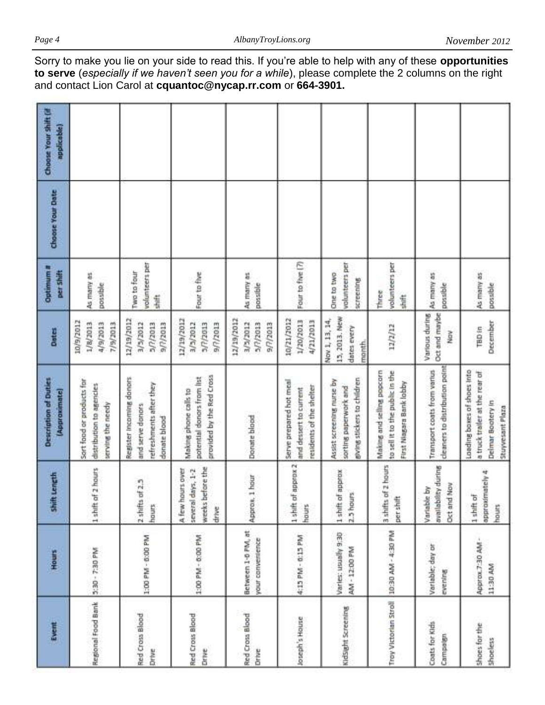| Choose Your Shift (if<br>applicable)          |                                                                            |                                                                                         |                                                                                  |                                                |                                                                               |                                                                                   |                                                                                           |                                                               |                                                                                                        |
|-----------------------------------------------|----------------------------------------------------------------------------|-----------------------------------------------------------------------------------------|----------------------------------------------------------------------------------|------------------------------------------------|-------------------------------------------------------------------------------|-----------------------------------------------------------------------------------|-------------------------------------------------------------------------------------------|---------------------------------------------------------------|--------------------------------------------------------------------------------------------------------|
| Choose Your Date                              |                                                                            |                                                                                         |                                                                                  |                                                |                                                                               |                                                                                   |                                                                                           |                                                               |                                                                                                        |
| Optimum#<br>per Shift                         | As many as<br>possible                                                     | volunteers per<br>Two to four<br>\$H                                                    | Four to five                                                                     | As many as<br>possible                         | Four to five [7]                                                              | volunteers per<br>One to two<br>screening                                         | volunteers per<br>Three<br>盲                                                              | As many as<br>possible                                        | As many as<br>possible                                                                                 |
| Dates                                         | 10/9/2012<br>1/8/2013<br>4/9/2013<br>2/9/2013                              | 12/19/2012<br>9/7/2013<br>3/5/2012<br>5/7/2013                                          | 12/19/2012<br>3/3/2012<br>5/7/2013<br>ET0Z//16                                   | 12/19/2012<br>3/3/2012<br>5/7/2013<br>9/7/2013 | 10/21/2012<br>1/20/2013<br>4/21/2013                                          | 15, 2013. New<br>Nov 1, 13, 14,<br>dates every<br>month                           | 12/2/12                                                                                   | Oct and maybe<br>Various during<br>Nov                        | December<br>TBD in                                                                                     |
| <b>Description of Duties</b><br>(Approximate) | Sort food or products for<br>distribution to agencies<br>serving the needy | Register incoming donors<br>refreshments after they<br>and serve donors<br>donate blood | provided by the Red Cross<br>potential donors from list<br>Making phone calls to | Dorute blood                                   | Serve prepared hot meal<br>residents of the shelter<br>and dessert to current | giving stickers to children<br>Assist screening nurse by<br>sorting paperwork and | to sell it to the public in the<br>Making and selling popcorn<br>First Niagara Bank lobby | cleaners to distribution point<br>Transport coats from varius | Loading boxes of shoes into<br>a truck trailer at the rear of<br>Delmar Bootery in<br>Stuyvesant Plaza |
| Shift Length                                  | hours<br>1 shift of 2                                                      | 2 shifts of 2.5<br>hours                                                                | weeks before the<br>several days, 1-2<br>A few hours over<br>drive               | Approx, 1 hour                                 | 1 shift of approx 2<br>hours                                                  | 1 shift of approx<br>2.3 hours                                                    | 3 shifts of 2 hours<br>per shift                                                          | during<br>Oct and Nov<br>Variable by<br>availability          | approximately 4<br>1 shift of<br>hours                                                                 |
| Hours                                         | 3:30 - 7:30 PM                                                             | 1:00 PM - 0:00 PM                                                                       | 1:00 PM - 0:00 PM                                                                | Between 1-0 PM, at<br>your convenience         | 4:15 PM - 0:15 PM                                                             | Varies: usually 9:30<br>AM - 12:00 PM                                             |                                                                                           | Variable; day or<br>evening                                   | Approx.7:30 AM -<br>11:30 AM                                                                           |
| Event                                         | Regional Food Bank                                                         | Red Cross Blood<br>Drive                                                                | Red Cross Blood<br>Drive                                                         | Red Cross Blood<br>Drive                       | Joseph's House                                                                | KidSight Screening                                                                | Tray Victorian Stroll   10:30 AM - 4:30 PM                                                | Coats for Kids<br>Campaign                                    | shoes for the<br><b>Shoeless</b>                                                                       |

Sorry to make you lie on your side to read this. If you're able to help with any of these **opportunities to serve** (*especially if we haven't seen you for a while*), please complete the 2 columns on the right and contact Lion Carol at **cquantoc@nycap.rr.com** or **664-3901.**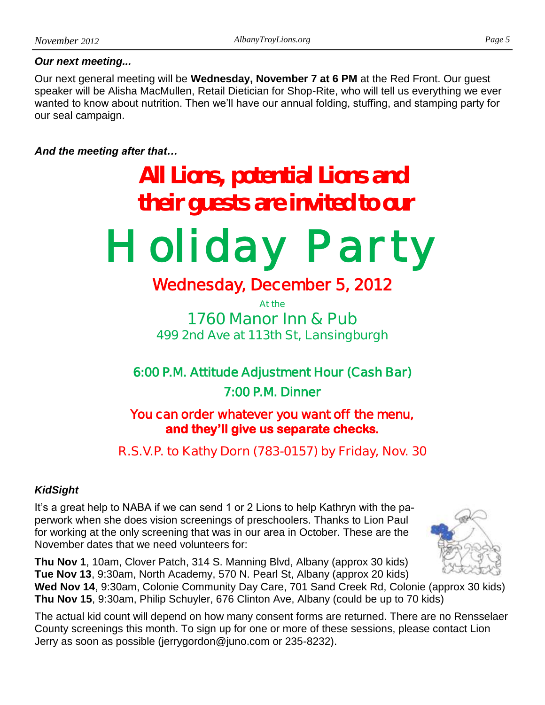#### *Our next meeting...*

Our next general meeting will be **Wednesday, November 7 at 6 PM** at the Red Front. Our guest speaker will be Alisha MacMullen, Retail Dietician for Shop-Rite, who will tell us everything we ever wanted to know about nutrition. Then we'll have our annual folding, stuffing, and stamping party for our seal campaign.

#### *And the meeting after that…*

# **All Lions, potential Lions and their guests are invited to our**

*Holiday Party* 

# **Wednesday, December 5, 2012**

**At the 1760 Manor Inn & Pub 499 2nd Ave at 113th St, Lansingburgh**

**6:00 P.M. Attitude Adjustment Hour (Cash Bar) 7:00 P.M. Dinner** 

**You can order whatever you want off the menu, and they'll give us separate checks.** 

# **R.S.V.P. to Kathy Dorn (783-0157) by Friday, Nov. 30**

# *KidSight*

It's a great help to NABA if we can send 1 or 2 Lions to help Kathryn with the paperwork when she does vision screenings of preschoolers. Thanks to Lion Paul for working at the only screening that was in our area in October. These are the November dates that we need volunteers for:

**Thu Nov 1**, 10am, Clover Patch, 314 S. Manning Blvd, Albany (approx 30 kids) **Tue Nov 13**, 9:30am, North Academy, 570 N. Pearl St, Albany (approx 20 kids)

**Wed Nov 14**, 9:30am, Colonie Community Day Care, 701 Sand Creek Rd, Colonie (approx 30 kids) **Thu Nov 15**, 9:30am, Philip Schuyler, 676 Clinton Ave, Albany (could be up to 70 kids)

The actual kid count will depend on how many consent forms are returned. There are no Rensselaer County screenings this month. To sign up for one or more of these sessions, please contact Lion Jerry as soon as possible (jerrygordon@juno.com or 235-8232).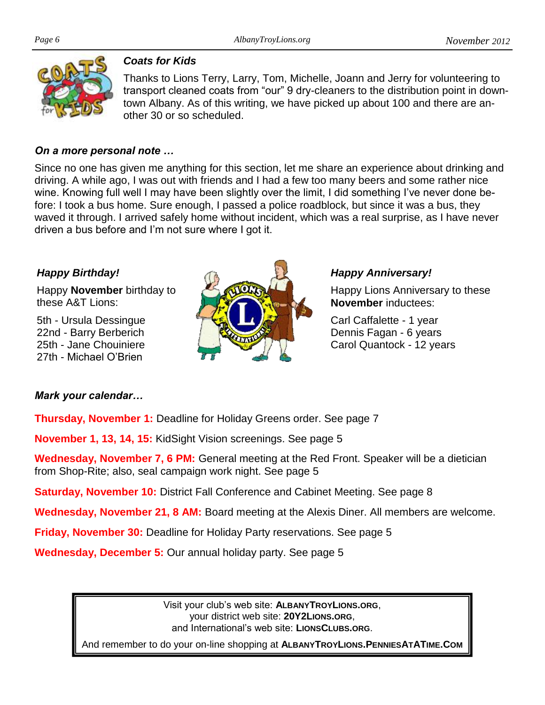

#### *Coats for Kids*

Thanks to Lions Terry, Larry, Tom, Michelle, Joann and Jerry for volunteering to transport cleaned coats from "our" 9 dry-cleaners to the distribution point in downtown Albany. As of this writing, we have picked up about 100 and there are another 30 or so scheduled.

#### *On a more personal note …*

Since no one has given me anything for this section, let me share an experience about drinking and driving. A while ago, I was out with friends and I had a few too many beers and some rather nice wine. Knowing full well I may have been slightly over the limit, I did something I've never done before: I took a bus home. Sure enough, I passed a police roadblock, but since it was a bus, they waved it through. I arrived safely home without incident, which was a real surprise, as I have never driven a bus before and I'm not sure where I got it.

# *Happy Birthday!*

Happy **November** birthday to these A&T Lions:

5th - Ursula Dessingue 22nd - Barry Berberich 25th - Jane Chouiniere 27th - Michael O'Brien



#### *Happy Anniversary!*

Happy Lions Anniversary to these **November** inductees:

Carl Caffalette - 1 year Dennis Fagan - 6 years Carol Quantock - 12 years

# *Mark your calendar…*

**Thursday, November 1:** Deadline for Holiday Greens order. See page 7

**November 1, 13, 14, 15:** KidSight Vision screenings. See page 5

**Wednesday, November 7, 6 PM:** General meeting at the Red Front. Speaker will be a dietician from Shop-Rite; also, seal campaign work night. See page 5

**Saturday, November 10: District Fall Conference and Cabinet Meeting. See page 8** 

**Wednesday, November 21, 8 AM:** Board meeting at the Alexis Diner. All members are welcome.

**Friday, November 30:** Deadline for Holiday Party reservations. See page 5

**Wednesday, December 5:** Our annual holiday party. See page 5

Visit your club's web site: **ALBANYTROYLIONS.ORG**, your district web site: **20Y2LIONS.ORG**, and International's web site: **LIONSCLUBS.ORG**.

And remember to do your on-line shopping at **ALBANYTROYLIONS.PENNIESATATIME.COM**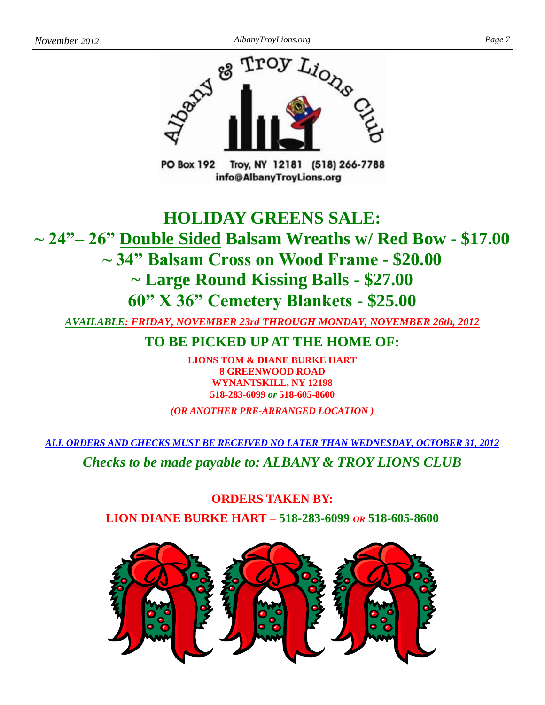

Troy, NY 12181 (518) 266-7788 **PO Box 192** info@AlbanyTroyLions.org

# **HOLIDAY GREENS SALE: ~ 24"– 26" Double Sided Balsam Wreaths w/ Red Bow - \$17.00 ~ 34" Balsam Cross on Wood Frame - \$20.00 ~ Large Round Kissing Balls - \$27.00 60" X 36" Cemetery Blankets - \$25.00**

*AVAILABLE: FRIDAY, NOVEMBER 23rd THROUGH MONDAY, NOVEMBER 26th, 2012*

**TO BE PICKED UP AT THE HOME OF:**

**LIONS TOM & DIANE BURKE HART 8 GREENWOOD ROAD WYNANTSKILL, NY 12198 518-283-6099** *or* **518-605-8600**

*(OR ANOTHER PRE-ARRANGED LOCATION )*

*ALL ORDERS AND CHECKS MUST BE RECEIVED NO LATER THAN WEDNESDAY, OCTOBER 31, 2012*

*Checks to be made payable to: ALBANY & TROY LIONS CLUB*

**ORDERS TAKEN BY: LION DIANE BURKE HART – 518-283-6099** *OR* **518-605-8600**